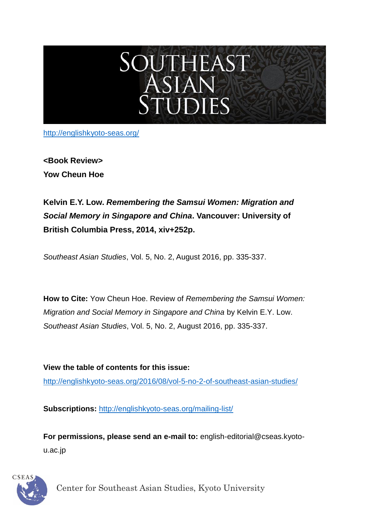## SOUTHEAST<br>ASIAN<br>STUDIES

<http://englishkyoto-seas.org/>

**<Book Review> Yow Cheun Hoe** 

**Kelvin E.Y. Low.** *Remembering the Samsui Women: Migration and Social Memory in Singapore and China***. Vancouver: University of British Columbia Press, 2014, xiv+252p.**

*Southeast Asian Studies*, Vol. 5, No. 2, August 2016, pp. 335-337.

**How to Cite:** Yow Cheun Hoe. Review of *Remembering the Samsui Women: Migration and Social Memory in Singapore and China* by Kelvin E.Y. Low. *Southeast Asian Studies*, Vol. 5, No. 2, August 2016, pp. 335-337.

**View the table of contents for this issue:** [http://englishkyoto-seas.org/2016/08/vol-5-no-2-of-southeast-asian-studies/](http://englishkyoto-seas.org/2016/08/vol-5-no-2-of-southeast-asian-studies)

**Subscriptions:** <http://englishkyoto-seas.org/mailing-list/>

**For permissions, please send an e-mail to:** english-editorial@cseas.kyotou.ac.jp



Center for Southeast Asian Studies, Kyoto University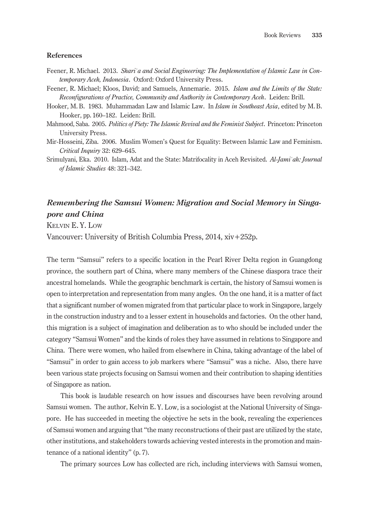## **References**

- Feener, R. Michael. 2013. *Shariʿa and Social Engineering: The Implementation of Islamic Law in Contemporary Aceh, Indonesia*. Oxford: Oxford University Press.
- Feener, R. Michael; Kloos, David; and Samuels, Annemarie. 2015. *Islam and the Limits of the State: Reconfigurations of Practice, Community and Authority in Contemporary Aceh*. Leiden: Brill.
- Hooker, M.B. 1983. Muhammadan Law and Islamic Law. In *Islam in Southeast Asia*, edited by M.B. Hooker, pp. 160–182. Leiden: Brill.
- Mahmood, Saba. 2005. *Politics of Piety: The Islamic Revival and the Feminist Subject*. Princeton: Princeton University Press.
- Mir-Hosseini, Ziba. 2006. Muslim Women's Quest for Equality: Between Islamic Law and Feminism. *Critical Inquiry* 32: 629–645.
- Srimulyani, Eka. 2010. Islam, Adat and the State: Matrifocality in Aceh Revisited. *Al-Jamiʿah: Journal of Islamic Studies* 48: 321–342.

## *Remembering the Samsui Women: Migration and Social Memory in Singapore and China*

Kelvin E. Y. Low

Vancouver: University of British Columbia Press, 2014, xiv+252p.

The term "Samsui" refers to a specific location in the Pearl River Delta region in Guangdong province, the southern part of China, where many members of the Chinese diaspora trace their ancestral homelands. While the geographic benchmark is certain, the history of Samsui women is open to interpretation and representation from many angles. On the one hand, it is a matter of fact that a significant number of women migrated from that particular place to work in Singapore, largely in the construction industry and to a lesser extent in households and factories. On the other hand, this migration is a subject of imagination and deliberation as to who should be included under the category "Samsui Women" and the kinds of roles they have assumed in relations to Singapore and China. There were women, who hailed from elsewhere in China, taking advantage of the label of "Samsui" in order to gain access to job markers where "Samsui" was a niche. Also, there have been various state projects focusing on Samsui women and their contribution to shaping identities of Singapore as nation.

This book is laudable research on how issues and discourses have been revolving around Samsui women. The author, Kelvin E. Y. Low, is a sociologist at the National University of Singapore. He has succeeded in meeting the objective he sets in the book, revealing the experiences of Samsui women and arguing that "the many reconstructions of their past are utilized by the state, other institutions, and stakeholders towards achieving vested interests in the promotion and maintenance of a national identity" (p. 7).

The primary sources Low has collected are rich, including interviews with Samsui women,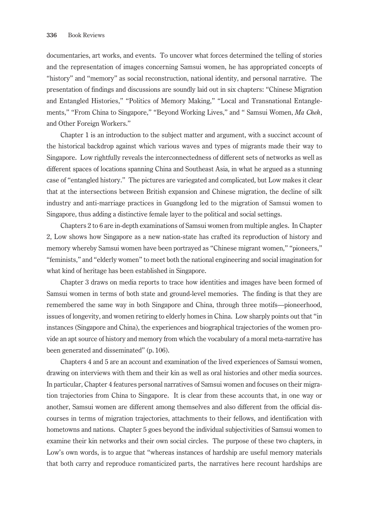documentaries, art works, and events. To uncover what forces determined the telling of stories and the representation of images concerning Samsui women, he has appropriated concepts of "history" and "memory" as social reconstruction, national identity, and personal narrative. The presentation of findings and discussions are soundly laid out in six chapters: "Chinese Migration and Entangled Histories," "Politics of Memory Making," "Local and Transnational Entanglements," "From China to Singapore," "Beyond Working Lives," and " Samsui Women, *Ma Cheh*, and Other Foreign Workers."

Chapter 1 is an introduction to the subject matter and argument, with a succinct account of the historical backdrop against which various waves and types of migrants made their way to Singapore. Low rightfully reveals the interconnectedness of different sets of networks as well as different spaces of locations spanning China and Southeast Asia, in what he argued as a stunning case of "entangled history." The pictures are variegated and complicated, but Low makes it clear that at the intersections between British expansion and Chinese migration, the decline of silk industry and anti-marriage practices in Guangdong led to the migration of Samsui women to Singapore, thus adding a distinctive female layer to the political and social settings.

Chapters 2 to 6 are in-depth examinations of Samsui women from multiple angles. In Chapter 2, Low shows how Singapore as a new nation-state has crafted its reproduction of history and memory whereby Samsui women have been portrayed as "Chinese migrant women," "pioneers," "feminists," and "elderly women" to meet both the national engineering and social imagination for what kind of heritage has been established in Singapore.

Chapter 3 draws on media reports to trace how identities and images have been formed of Samsui women in terms of both state and ground-level memories. The finding is that they are remembered the same way in both Singapore and China, through three motifs—pioneerhood, issues of longevity, and women retiring to elderly homes in China. Low sharply points out that "in instances (Singapore and China), the experiences and biographical trajectories of the women provide an apt source of history and memory from which the vocabulary of a moral meta-narrative has been generated and disseminated" (p. 106).

Chapters 4 and 5 are an account and examination of the lived experiences of Samsui women, drawing on interviews with them and their kin as well as oral histories and other media sources. In particular, Chapter 4 features personal narratives of Samsui women and focuses on their migration trajectories from China to Singapore. It is clear from these accounts that, in one way or another, Samsui women are different among themselves and also different from the official discourses in terms of migration trajectories, attachments to their fellows, and identification with hometowns and nations. Chapter 5 goes beyond the individual subjectivities of Samsui women to examine their kin networks and their own social circles. The purpose of these two chapters, in Low's own words, is to argue that "whereas instances of hardship are useful memory materials that both carry and reproduce romanticized parts, the narratives here recount hardships are